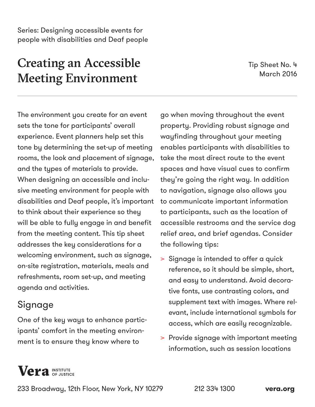# Creating an Accessible Meeting Environment

Tip Sheet No. 4 March 2016

The environment you create for an event sets the tone for participants' overall experience. Event planners help set this tone by determining the set-up of meeting rooms, the look and placement of signage, and the types of materials to provide. When designing an accessible and inclusive meeting environment for people with disabilities and Deaf people, it's important to think about their experience so they will be able to fully engage in and benefit from the meeting content. This tip sheet addresses the key considerations for a welcoming environment, such as signage, on-site registration, materials, meals and refreshments, room set-up, and meeting agenda and activities.

## Signage

One of the key ways to enhance participants' comfort in the meeting environment is to ensure they know where to

go when moving throughout the event property. Providing robust signage and wayfinding throughout your meeting enables participants with disabilities to take the most direct route to the event spaces and have visual cues to confirm they're going the right way. In addition to navigation, signage also allows you to communicate important information to participants, such as the location of accessible restrooms and the service dog relief area, and brief agendas. Consider the following tips:

- > Signage is intended to offer a quick reference, so it should be simple, short, and easy to understand. Avoid decorative fonts, use contrasting colors, and supplement text with images. Where relevant, include international symbols for access, which are easily recognizable.
- > Provide signage with important meeting information, such as session locations

## **Vera** INSTITUTE

233 Broadway, 12th Floor, New York, NY 10279 212 334 1300 **[vera.org](http://www.vera.org)**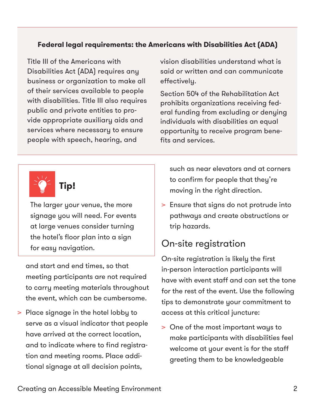#### **Federal legal requirements: the Americans with Disabilities Act (ADA)**

Title III of the Americans with Disabilities Act (ADA) requires any business or organization to make all of their services available to people with disabilities. Title III also requires public and private entities to provide appropriate auxiliary aids and services where necessary to ensure people with speech, hearing, and

vision disabilities understand what is said or written and can communicate effectively.

Section 504 of the Rehabilitation Act prohibits organizations receiving federal funding from excluding or denying individuals with disabilities an equal opportunity to receive program benefits and services.



The larger your venue, the more signage you will need. For events at large venues consider turning the hotel's floor plan into a sign for easy navigation.

and start and end times, so that meeting participants are not required to carry meeting materials throughout the event, which can be cumbersome.

> Place signage in the hotel lobby to serve as a visual indicator that people have arrived at the correct location, and to indicate where to find registration and meeting rooms. Place additional signage at all decision points,

such as near elevators and at corners to confirm for people that they're moving in the right direction.

> Ensure that signs do not protrude into pathways and create obstructions or trip hazards.

## On-site registration

On-site registration is likely the first in-person interaction participants will have with event staff and can set the tone for the rest of the event. Use the following tips to demonstrate your commitment to access at this critical juncture:

> One of the most important ways to make participants with disabilities feel welcome at your event is for the staff greeting them to be knowledgeable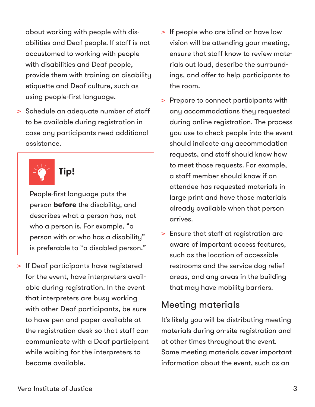about working with people with disabilities and Deaf people. If staff is not accustomed to working with people with disabilities and Deaf people, provide them with training on disability etiquette and Deaf culture, such as using people-first language.

> Schedule an adequate number of staff to be available during registration in case any participants need additional assistance.



People-first language puts the person **before** the disability, and describes what a person has, not who a person is. For example, "a person with or who has a disability" is preferable to "a disabled person."

> If Deaf participants have registered for the event, have interpreters available during registration. In the event that interpreters are busy working with other Deaf participants, be sure to have pen and paper available at the registration desk so that staff can communicate with a Deaf participant while waiting for the interpreters to become available.

- > If people who are blind or have low vision will be attending your meeting, ensure that staff know to review materials out loud, describe the surroundings, and offer to help participants to the room.
- > Prepare to connect participants with any accommodations they requested during online registration. The process you use to check people into the event should indicate any accommodation requests, and staff should know how to meet those requests. For example, a staff member should know if an attendee has requested materials in large print and have those materials already available when that person arrives.
- > Ensure that staff at registration are aware of important access features, such as the location of accessible restrooms and the service dog relief areas, and any areas in the building that may have mobility barriers.

## Meeting materials

It's likely you will be distributing meeting materials during on-site registration and at other times throughout the event. Some meeting materials cover important information about the event, such as an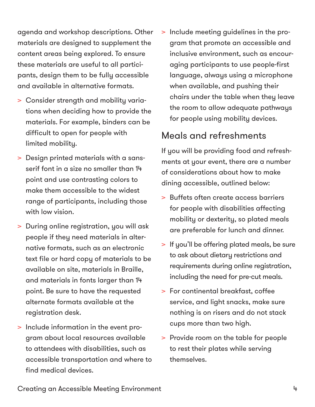agenda and workshop descriptions. Other materials are designed to supplement the content areas being explored. To ensure these materials are useful to all participants, design them to be fully accessible and available in alternative formats.

- > Consider strength and mobility variations when deciding how to provide the materials. For example, binders can be difficult to open for people with limited mobility.
- > Design printed materials with a sansserif font in a size no smaller than 14 point and use contrasting colors to make them accessible to the widest range of participants, including those with low vision.
- > During online registration, you will ask people if they need materials in alternative formats, such as an electronic text file or hard copy of materials to be available on site, materials in Braille, and materials in fonts larger than 14 point. Be sure to have the requested alternate formats available at the registration desk.
- > Include information in the event program about local resources available to attendees with disabilities, such as accessible transportation and where to find medical devices.

> Include meeting guidelines in the program that promote an accessible and inclusive environment, such as encouraging participants to use people-first language, always using a microphone when available, and pushing their chairs under the table when they leave the room to allow adequate pathways for people using mobility devices.

## Meals and refreshments

If you will be providing food and refreshments at your event, there are a number of considerations about how to make dining accessible, outlined below:

- > Buffets often create access barriers for people with disabilities affecting mobility or dexterity, so plated meals are preferable for lunch and dinner.
- > If you'll be offering plated meals, be sure to ask about dietary restrictions and requirements during online registration, including the need for pre-cut meals.
- > For continental breakfast, coffee service, and light snacks, make sure nothing is on risers and do not stack cups more than two high.
- > Provide room on the table for people to rest their plates while serving themselves.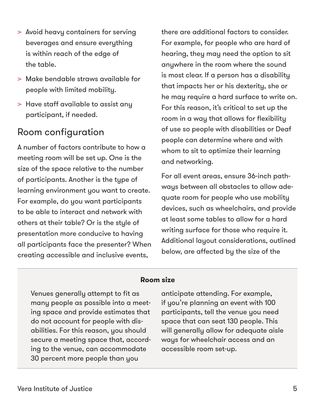- > Avoid heavy containers for serving beverages and ensure everything is within reach of the edge of the table.
- > Make bendable straws available for people with limited mobility.
- > Have staff available to assist any participant, if needed.

## Room configuration

A number of factors contribute to how a meeting room will be set up. One is the size of the space relative to the number of participants. Another is the type of learning environment you want to create. For example, do you want participants to be able to interact and network with others at their table? Or is the style of presentation more conducive to having all participants face the presenter? When creating accessible and inclusive events,

there are additional factors to consider. For example, for people who are hard of hearing, they may need the option to sit anywhere in the room where the sound is most clear. If a person has a disability that impacts her or his dexterity, she or he may require a hard surface to write on. For this reason, it's critical to set up the room in a way that allows for flexibility of use so people with disabilities or Deaf people can determine where and with whom to sit to optimize their learning and networking.

For all event areas, ensure 36-inch pathways between all obstacles to allow adequate room for people who use mobility devices, such as wheelchairs, and provide at least some tables to allow for a hard writing surface for those who require it. Additional layout considerations, outlined below, are affected by the size of the

#### **Room size**

Venues generally attempt to fit as many people as possible into a meeting space and provide estimates that do not account for people with disabilities. For this reason, you should secure a meeting space that, according to the venue, can accommodate 30 percent more people than you

anticipate attending. For example, if you're planning an event with 100 participants, tell the venue you need space that can seat 130 people. This will generally allow for adequate aisle ways for wheelchair access and an accessible room set-up.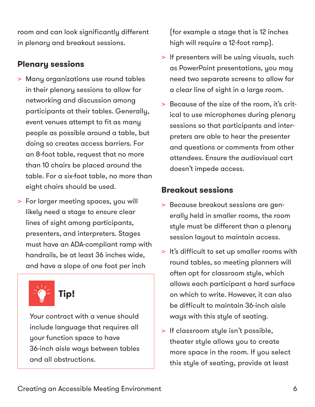room and can look significantly different in plenary and breakout sessions.

#### **Plenary sessions**

- > Many organizations use round tables in their plenary sessions to allow for networking and discussion among participants at their tables. Generally, event venues attempt to fit as many people as possible around a table, but doing so creates access barriers. For an 8-foot table, request that no more than 10 chairs be placed around the table. For a six-foot table, no more than eight chairs should be used.
- > For larger meeting spaces, you will likely need a stage to ensure clear lines of sight among participants, presenters, and interpreters. Stages must have an ADA-compliant ramp with handrails, be at least 36 inches wide, and have a slope of one foot per inch

**Tip!**

Your contract with a venue should include language that requires all your function space to have 36-inch aisle ways between tables and all obstructions.

(for example a stage that is 12 inches high will require a 12-foot ramp).

- > If presenters will be using visuals, such as PowerPoint presentations, you may need two separate screens to allow for a clear line of sight in a large room.
- > Because of the size of the room, it's critical to use microphones during plenary sessions so that participants and interpreters are able to hear the presenter and questions or comments from other attendees. Ensure the audiovisual cart doesn't impede access.

#### **Breakout sessions**

- > Because breakout sessions are generally held in smaller rooms, the room style must be different than a plenary session layout to maintain access.
- > It's difficult to set up smaller rooms with round tables, so meeting planners will often opt for classroom style, which allows each participant a hard surface on which to write. However, it can also be difficult to maintain 36-inch aisle ways with this style of seating.
- > If classroom style isn't possible, theater style allows you to create more space in the room. If you select this style of seating, provide at least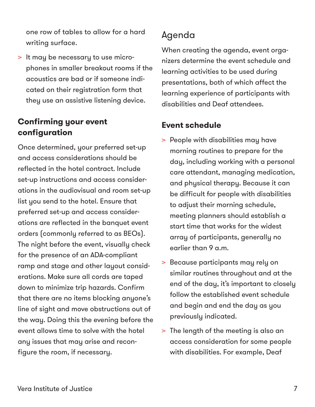one row of tables to allow for a hard writing surface.

> It may be necessary to use microphones in smaller breakout rooms if the acoustics are bad or if someone indicated on their registration form that they use an assistive listening device.

### **Confirming your event configuration**

Once determined, your preferred set-up and access considerations should be reflected in the hotel contract. Include set-up instructions and access considerations in the audiovisual and room set-up list you send to the hotel. Ensure that preferred set-up and access considerations are reflected in the banquet event orders (commonly referred to as BEOs). The night before the event, visually check for the presence of an ADA-compliant ramp and stage and other layout considerations. Make sure all cords are taped down to minimize trip hazards. Confirm that there are no items blocking anyone's line of sight and move obstructions out of the way. Doing this the evening before the event allows time to solve with the hotel any issues that may arise and reconfigure the room, if necessary.

## Agenda

When creating the agenda, event organizers determine the event schedule and learning activities to be used during presentations, both of which affect the learning experience of participants with disabilities and Deaf attendees.

### **Event schedule**

- > People with disabilities may have morning routines to prepare for the day, including working with a personal care attendant, managing medication, and physical therapy. Because it can be difficult for people with disabilities to adjust their morning schedule, meeting planners should establish a start time that works for the widest array of participants, generally no earlier than 9 a.m.
- > Because participants may rely on similar routines throughout and at the end of the day, it's important to closely follow the established event schedule and begin and end the day as you previously indicated.
- > The length of the meeting is also an access consideration for some people with disabilities. For example, Deaf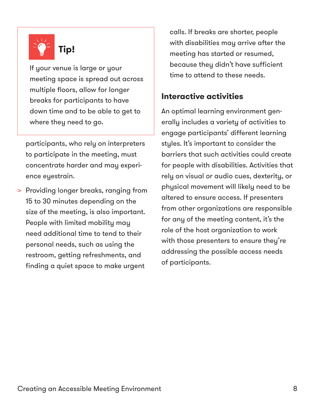

If your venue is large or your meeting space is spread out across multiple floors, allow for longer breaks for participants to have down time and to be able to get to where they need to go.

participants, who rely on interpreters to participate in the meeting, must concentrate harder and may experience eyestrain.

> Providing longer breaks, ranging from 15 to 30 minutes depending on the size of the meeting, is also important. People with limited mobility may need additional time to tend to their personal needs, such as using the restroom, getting refreshments, and finding a quiet space to make urgent

calls. If breaks are shorter, people with disabilities may arrive after the meeting has started or resumed, because they didn't have sufficient time to attend to these needs.

#### **Interactive activities**

An optimal learning environment generally includes a variety of activities to engage participants' different learning styles. It's important to consider the barriers that such activities could create for people with disabilities. Activities that rely on visual or audio cues, dexterity, or physical movement will likely need to be altered to ensure access. If presenters from other organizations are responsible for any of the meeting content, it's the role of the host organization to work with those presenters to ensure they're addressing the possible access needs of participants.